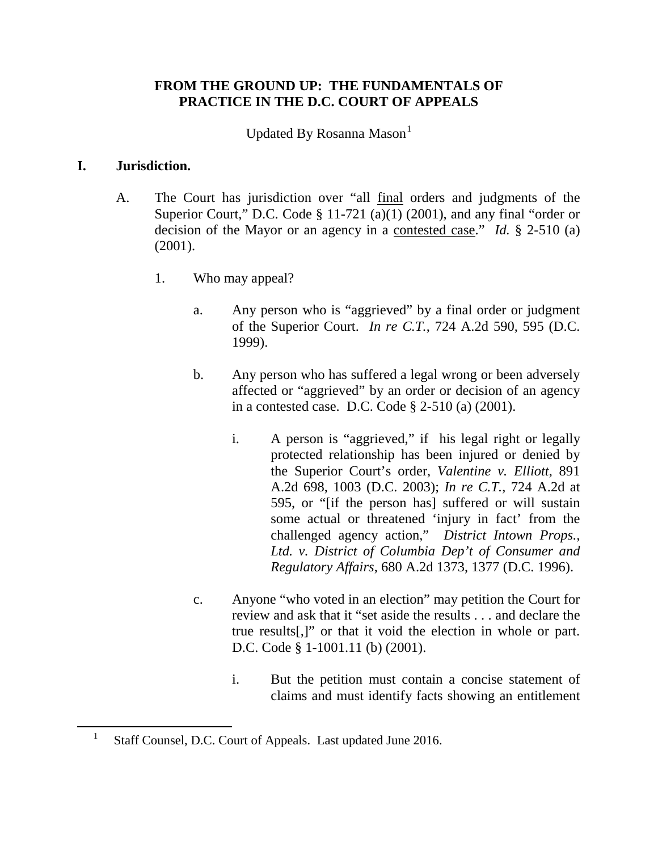# **FROM THE GROUND UP: THE FUNDAMENTALS OF PRACTICE IN THE D.C. COURT OF APPEALS**

Updated By Rosanna Mason

## **I. Jurisdiction.**

<span id="page-0-0"></span> $\overline{a}$ 

- A. The Court has jurisdiction over "all final orders and judgments of the Superior Court," D.C. Code  $\S$  11-721 (a)(1) (2001), and any final "order or decision of the Mayor or an agency in a contested case." *Id.* § 2-510 (a) (2001).
	- 1. Who may appeal?
		- a. Any person who is "aggrieved" by a final order or judgment of the Superior Court. *In re C.T.*, 724 A.2d 590, 595 (D.C. 1999).
		- b. Any person who has suffered a legal wrong or been adversely affected or "aggrieved" by an order or decision of an agency in a contested case. D.C. Code § 2-510 (a) (2001).
			- i. A person is "aggrieved," if his legal right or legally protected relationship has been injured or denied by the Superior Court's order, *Valentine v. Elliott*, 891 A.2d 698, 1003 (D.C. 2003); *In re C.T.*, 724 A.2d at 595, or "[if the person has] suffered or will sustain some actual or threatened 'injury in fact' from the challenged agency action," *District Intown Props., Ltd. v. District of Columbia Dep't of Consumer and Regulatory Affairs*, 680 A.2d 1373, 1377 (D.C. 1996).
		- c. Anyone "who voted in an election" may petition the Court for review and ask that it "set aside the results . . . and declare the true results[,]" or that it void the election in whole or part. D.C. Code § 1-1001.11 (b) (2001).
			- i. But the petition must contain a concise statement of claims and must identify facts showing an entitlement

<sup>1</sup> Staff Counsel, D.C. Court of Appeals. Last updated June 2016.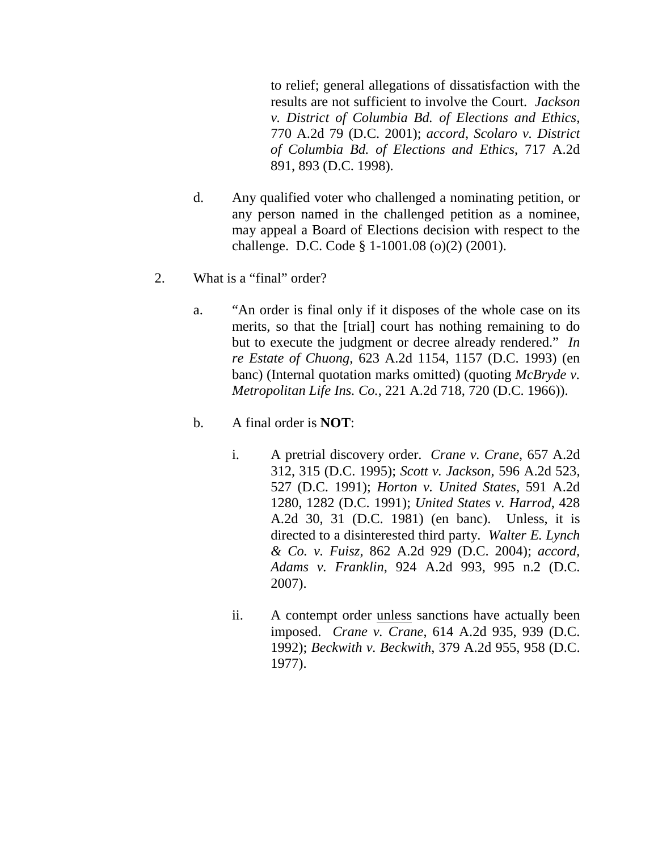to relief; general allegations of dissatisfaction with the results are not sufficient to involve the Court. *Jackson v. District of Columbia Bd. of Elections and Ethics*, 770 A.2d 79 (D.C. 2001); *accord*, *Scolaro v. District of Columbia Bd. of Elections and Ethics*, 717 A.2d 891, 893 (D.C. 1998).

- d. Any qualified voter who challenged a nominating petition, or any person named in the challenged petition as a nominee, may appeal a Board of Elections decision with respect to the challenge. D.C. Code § 1-1001.08 (o)(2) (2001).
- 2. What is a "final" order?
	- a. "An order is final only if it disposes of the whole case on its merits, so that the [trial] court has nothing remaining to do but to execute the judgment or decree already rendered." *In re Estate of Chuong*, 623 A.2d 1154, 1157 (D.C. 1993) (en banc) (Internal quotation marks omitted) (quoting *McBryde v. Metropolitan Life Ins. Co.*, 221 A.2d 718, 720 (D.C. 1966)).
	- b. A final order is **NOT**:
		- i. A pretrial discovery order. *Crane v. Crane*, 657 A.2d 312, 315 (D.C. 1995); *Scott v. Jackson*, 596 A.2d 523, 527 (D.C. 1991); *Horton v. United States*, 591 A.2d 1280, 1282 (D.C. 1991); *United States v. Harrod*, 428 A.2d 30, 31 (D.C. 1981) (en banc). Unless, it is directed to a disinterested third party. *Walter E. Lynch & Co. v. Fuisz*, 862 A.2d 929 (D.C. 2004); *accord, Adams v. Franklin*, 924 A.2d 993, 995 n.2 (D.C. 2007).
		- ii. A contempt order unless sanctions have actually been imposed. *Crane v. Crane*, 614 A.2d 935, 939 (D.C. 1992); *Beckwith v. Beckwith*, 379 A.2d 955, 958 (D.C. 1977).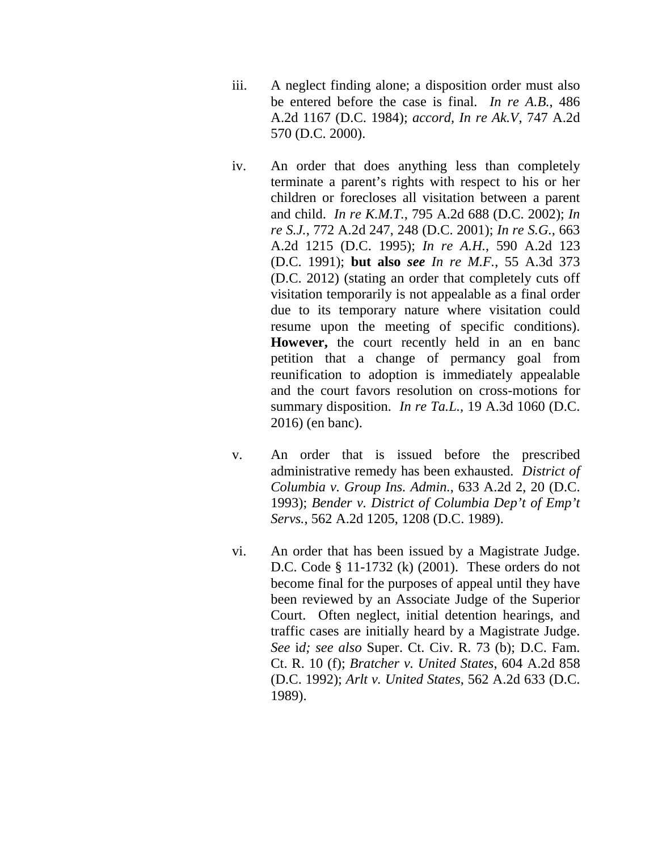- iii. A neglect finding alone; a disposition order must also be entered before the case is final. *In re A.B.*, 486 A.2d 1167 (D.C. 1984); *accord, In re Ak.V*, 747 A.2d 570 (D.C. 2000).
- iv. An order that does anything less than completely terminate a parent's rights with respect to his or her children or forecloses all visitation between a parent and child. *In re K.M.T.*, 795 A.2d 688 (D.C. 2002); *In re S.J.*, 772 A.2d 247, 248 (D.C. 2001); *In re S.G.*, 663 A.2d 1215 (D.C. 1995); *In re A.H.*, 590 A.2d 123 (D.C. 1991); **but also** *see In re M.F.*, 55 A.3d 373 (D.C. 2012) (stating an order that completely cuts off visitation temporarily is not appealable as a final order due to its temporary nature where visitation could resume upon the meeting of specific conditions). **However,** the court recently held in an en banc petition that a change of permancy goal from reunification to adoption is immediately appealable and the court favors resolution on cross-motions for summary disposition. *In re Ta.L.,* 19 A.3d 1060 (D.C. 2016) (en banc).
- v. An order that is issued before the prescribed administrative remedy has been exhausted. *District of Columbia v. Group Ins. Admin.*, 633 A.2d 2, 20 (D.C. 1993); *Bender v. District of Columbia Dep't of Emp't Servs.*, 562 A.2d 1205, 1208 (D.C. 1989).
- vi. An order that has been issued by a Magistrate Judge. D.C. Code § 11-1732 (k) (2001). These orders do not become final for the purposes of appeal until they have been reviewed by an Associate Judge of the Superior Court. Often neglect, initial detention hearings, and traffic cases are initially heard by a Magistrate Judge. *See* i*d; see also* Super. Ct. Civ. R. 73 (b); D.C. Fam. Ct. R. 10 (f); *Bratcher v. United States*, 604 A.2d 858 (D.C. 1992); *Arlt v. United States*, 562 A.2d 633 (D.C. 1989).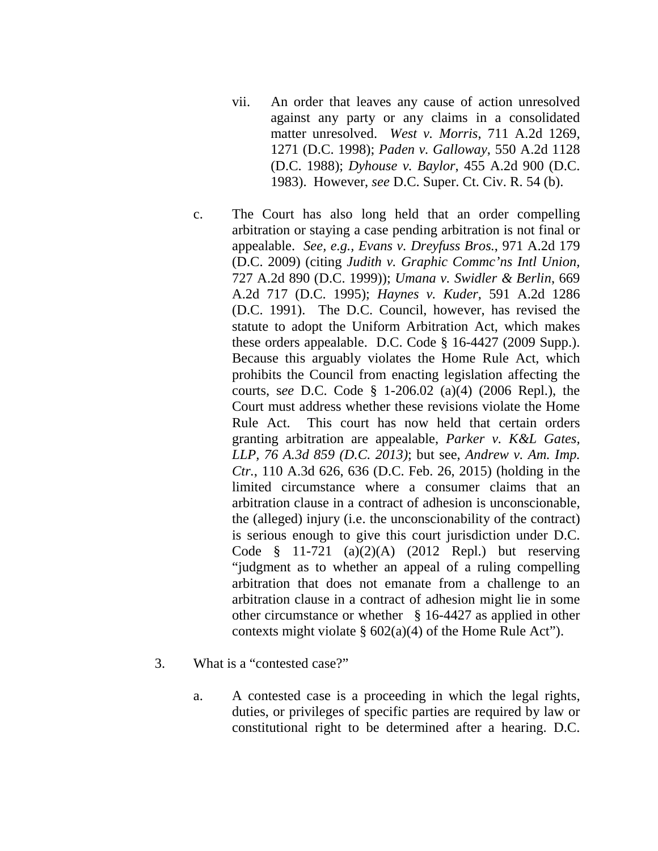- vii. An order that leaves any cause of action unresolved against any party or any claims in a consolidated matter unresolved. *West v. Morris*, 711 A.2d 1269, 1271 (D.C. 1998); *Paden v. Galloway*, 550 A.2d 1128 (D.C. 1988); *Dyhouse v. Baylor*, 455 A.2d 900 (D.C. 1983). However, *see* D.C. Super. Ct. Civ. R. 54 (b).
- c. The Court has also long held that an order compelling arbitration or staying a case pending arbitration is not final or appealable. *See, e.g., Evans v. Dreyfuss Bros.*, 971 A.2d 179 (D.C. 2009) (citing *Judith v. Graphic Commc'ns Intl Union,*  727 A.2d 890 (D.C. 1999)); *Umana v. Swidler & Berlin*, 669 A.2d 717 (D.C. 1995); *Haynes v. Kuder*, 591 A.2d 1286 (D.C. 1991). The D.C. Council, however, has revised the statute to adopt the Uniform Arbitration Act, which makes these orders appealable. D.C. Code § 16-4427 (2009 Supp.). Because this arguably violates the Home Rule Act, which prohibits the Council from enacting legislation affecting the courts, s*ee* D.C. Code § 1-206.02 (a)(4) (2006 Repl.), the Court must address whether these revisions violate the Home Rule Act. This court has now held that certain orders granting arbitration are appealable, *Parker v. K&L Gates, LLP, 76 A.3d 859 (D.C. 2013)*; but see, *Andrew v. Am. Imp. Ctr.*, 110 A.3d 626, 636 (D.C. Feb. 26, 2015) (holding in the limited circumstance where a consumer claims that an arbitration clause in a contract of adhesion is unconscionable, the (alleged) injury (i.e. the unconscionability of the contract) is serious enough to give this court jurisdiction under D.C. Code § 11-721 (a)(2)(A) (2012 Repl.) but reserving "judgment as to whether an appeal of a ruling compelling arbitration that does not emanate from a challenge to an arbitration clause in a contract of adhesion might lie in some other circumstance or whether § 16-4427 as applied in other contexts might violate  $\S 602(a)(4)$  of the Home Rule Act").
- 3. What is a "contested case?"
	- a. A contested case is a proceeding in which the legal rights, duties, or privileges of specific parties are required by law or constitutional right to be determined after a hearing. D.C.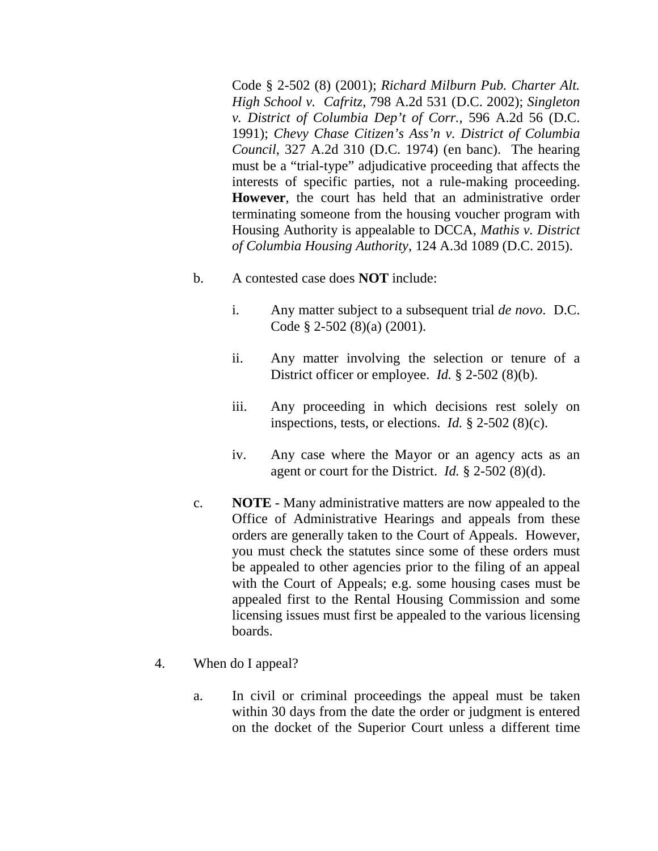Code § 2-502 (8) (2001); *Richard Milburn Pub. Charter Alt. High School v. Cafritz*, 798 A.2d 531 (D.C. 2002); *Singleton v. District of Columbia Dep't of Corr.*, 596 A.2d 56 (D.C. 1991); *Chevy Chase Citizen's Ass'n v. District of Columbia Council*, 327 A.2d 310 (D.C. 1974) (en banc). The hearing must be a "trial-type" adjudicative proceeding that affects the interests of specific parties, not a rule-making proceeding. **However**, the court has held that an administrative order terminating someone from the housing voucher program with Housing Authority is appealable to DCCA, *Mathis v. District of Columbia Housing Authority*, 124 A.3d 1089 (D.C. 2015).

- b. A contested case does **NOT** include:
	- i. Any matter subject to a subsequent trial *de novo*. D.C. Code § 2-502 (8)(a) (2001).
	- ii. Any matter involving the selection or tenure of a District officer or employee. *Id.* § 2-502 (8)(b).
	- iii. Any proceeding in which decisions rest solely on inspections, tests, or elections. *Id.* § 2-502 (8)(c).
	- iv. Any case where the Mayor or an agency acts as an agent or court for the District. *Id.* § 2-502 (8)(d).
- c. **NOTE** Many administrative matters are now appealed to the Office of Administrative Hearings and appeals from these orders are generally taken to the Court of Appeals. However, you must check the statutes since some of these orders must be appealed to other agencies prior to the filing of an appeal with the Court of Appeals; e.g. some housing cases must be appealed first to the Rental Housing Commission and some licensing issues must first be appealed to the various licensing boards.
- 4. When do I appeal?
	- a. In civil or criminal proceedings the appeal must be taken within 30 days from the date the order or judgment is entered on the docket of the Superior Court unless a different time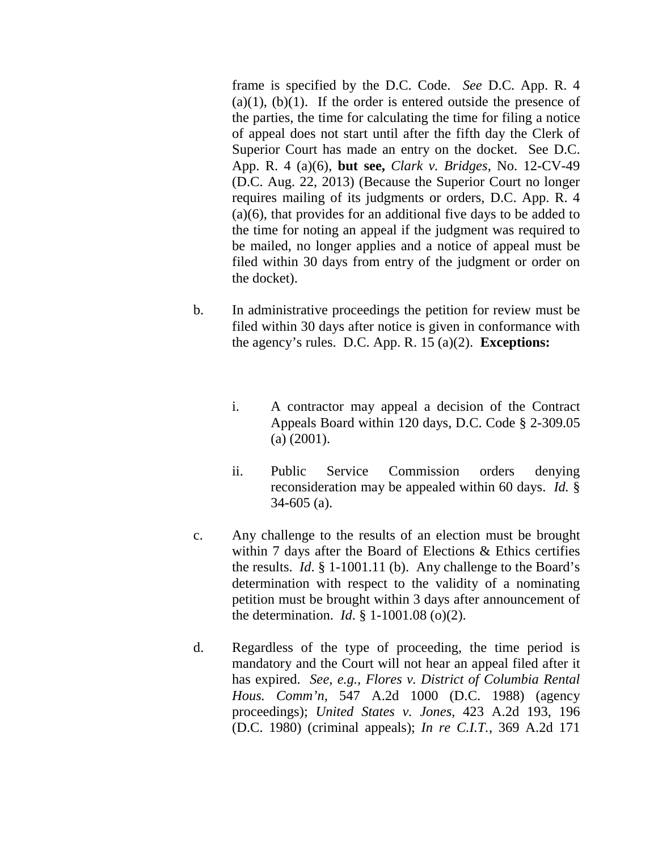frame is specified by the D.C. Code. *See* D.C. App. R. 4  $(a)(1)$ ,  $(b)(1)$ . If the order is entered outside the presence of the parties, the time for calculating the time for filing a notice of appeal does not start until after the fifth day the Clerk of Superior Court has made an entry on the docket. See D.C. App. R. 4 (a)(6), **but see,** *Clark v. Bridges*, No. 12-CV-49 (D.C. Aug. 22, 2013) (Because the Superior Court no longer requires mailing of its judgments or orders, D.C. App. R. 4 (a)(6), that provides for an additional five days to be added to the time for noting an appeal if the judgment was required to be mailed, no longer applies and a notice of appeal must be filed within 30 days from entry of the judgment or order on the docket).

- b. In administrative proceedings the petition for review must be filed within 30 days after notice is given in conformance with the agency's rules. D.C. App. R. 15 (a)(2). **Exceptions:**
	- i. A contractor may appeal a decision of the Contract Appeals Board within 120 days, D.C. Code § 2-309.05 (a) (2001).
	- ii. Public Service Commission orders denying reconsideration may be appealed within 60 days. *Id.* § 34-605 (a).
- c. Any challenge to the results of an election must be brought within 7 days after the Board of Elections & Ethics certifies the results. *Id*. § 1-1001.11 (b). Any challenge to the Board's determination with respect to the validity of a nominating petition must be brought within 3 days after announcement of the determination. *Id*. § 1-1001.08 (o)(2).
- d. Regardless of the type of proceeding, the time period is mandatory and the Court will not hear an appeal filed after it has expired. *See, e.g., Flores v. District of Columbia Rental Hous. Comm'n,* 547 A.2d 1000 (D.C. 1988) (agency proceedings); *United States v. Jones*, 423 A.2d 193, 196 (D.C. 1980) (criminal appeals); *In re C.I.T.*, 369 A.2d 171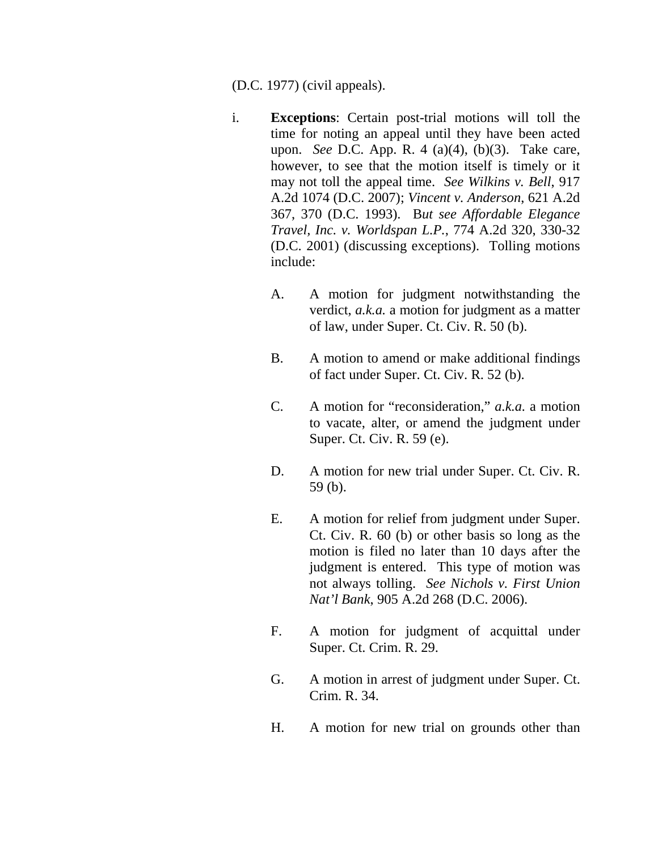(D.C. 1977) (civil appeals).

- i. **Exceptions**: Certain post-trial motions will toll the time for noting an appeal until they have been acted upon. *See* D.C. App. R. 4 (a)(4), (b)(3). Take care, however, to see that the motion itself is timely or it may not toll the appeal time. *See Wilkins v. Bell*, 917 A.2d 1074 (D.C. 2007); *Vincent v. Anderson*, 621 A.2d 367, 370 (D.C. 1993). B*ut see Affordable Elegance Travel, Inc. v. Worldspan L.P.*, 774 A.2d 320, 330-32 (D.C. 2001) (discussing exceptions). Tolling motions include:
	- A. A motion for judgment notwithstanding the verdict, *a.k.a.* a motion for judgment as a matter of law, under Super. Ct. Civ. R. 50 (b).
	- B. A motion to amend or make additional findings of fact under Super. Ct. Civ. R. 52 (b).
	- C. A motion for "reconsideration," *a.k.a.* a motion to vacate, alter, or amend the judgment under Super. Ct. Civ. R. 59 (e).
	- D. A motion for new trial under Super. Ct. Civ. R. 59 (b).
	- E. A motion for relief from judgment under Super. Ct. Civ. R. 60 (b) or other basis so long as the motion is filed no later than 10 days after the judgment is entered. This type of motion was not always tolling. *See Nichols v. First Union Nat'l Bank*, 905 A.2d 268 (D.C. 2006).
	- F. A motion for judgment of acquittal under Super. Ct. Crim. R. 29.
	- G. A motion in arrest of judgment under Super. Ct. Crim. R. 34.
	- H. A motion for new trial on grounds other than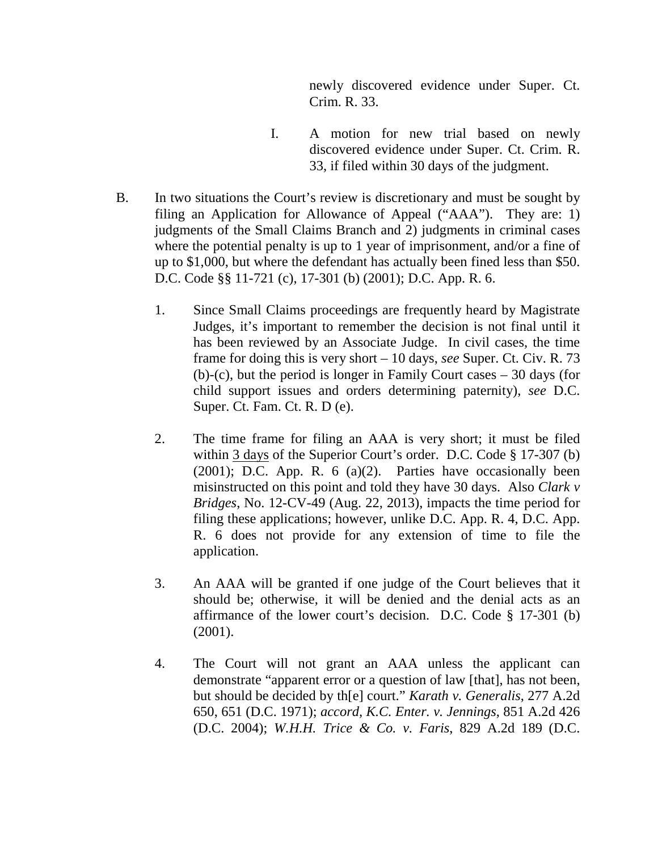newly discovered evidence under Super. Ct. Crim. R. 33.

- I. A motion for new trial based on newly discovered evidence under Super. Ct. Crim. R. 33, if filed within 30 days of the judgment.
- B. In two situations the Court's review is discretionary and must be sought by filing an Application for Allowance of Appeal ("AAA"). They are: 1) judgments of the Small Claims Branch and 2) judgments in criminal cases where the potential penalty is up to 1 year of imprisonment, and/or a fine of up to \$1,000, but where the defendant has actually been fined less than \$50. D.C. Code §§ 11-721 (c), 17-301 (b) (2001); D.C. App. R. 6.
	- 1. Since Small Claims proceedings are frequently heard by Magistrate Judges, it's important to remember the decision is not final until it has been reviewed by an Associate Judge. In civil cases, the time frame for doing this is very short – 10 days, *see* Super. Ct. Civ. R. 73 (b)-(c), but the period is longer in Family Court cases – 30 days (for child support issues and orders determining paternity), *see* D.C. Super. Ct. Fam. Ct. R. D (e).
	- 2. The time frame for filing an AAA is very short; it must be filed within 3 days of the Superior Court's order. D.C. Code § 17-307 (b)  $(2001)$ ; D.C. App. R. 6  $(a)(2)$ . Parties have occasionally been misinstructed on this point and told they have 30 days. Also *Clark v Bridges*, No. 12-CV-49 (Aug. 22, 2013), impacts the time period for filing these applications; however, unlike D.C. App. R. 4, D.C. App. R. 6 does not provide for any extension of time to file the application.
	- 3. An AAA will be granted if one judge of the Court believes that it should be; otherwise, it will be denied and the denial acts as an affirmance of the lower court's decision. D.C. Code § 17-301 (b) (2001).
	- 4. The Court will not grant an AAA unless the applicant can demonstrate "apparent error or a question of law [that], has not been, but should be decided by th[e] court." *Karath v. Generalis*, 277 A.2d 650, 651 (D.C. 1971); *accord, K.C. Enter. v. Jennings*, 851 A.2d 426 (D.C. 2004); *W.H.H. Trice & Co. v. Faris*, 829 A.2d 189 (D.C.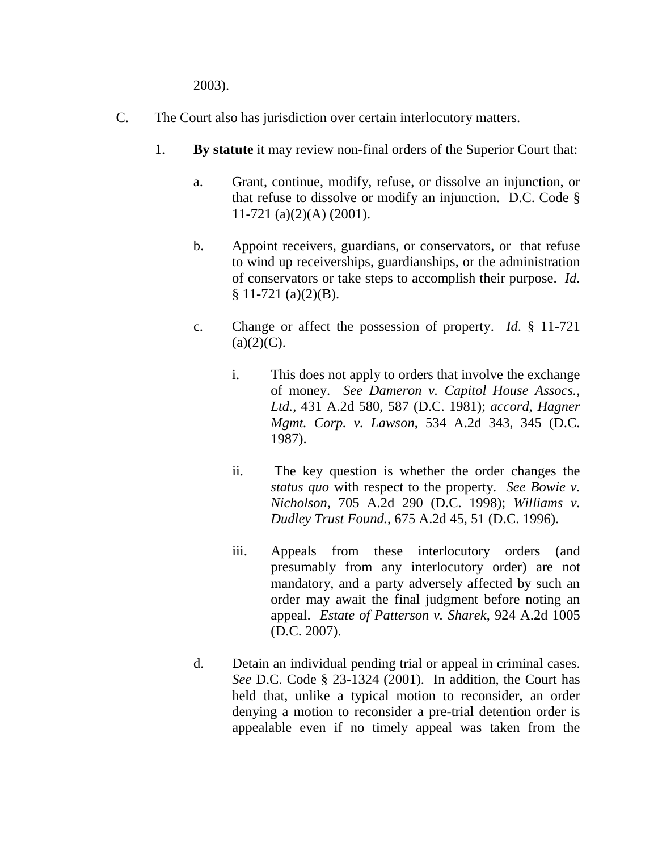2003).

- C. The Court also has jurisdiction over certain interlocutory matters.
	- 1. **By statute** it may review non-final orders of the Superior Court that:
		- a. Grant, continue, modify, refuse, or dissolve an injunction, or that refuse to dissolve or modify an injunction. D.C. Code § 11-721 (a)(2)(A) (2001).
		- b. Appoint receivers, guardians, or conservators, or that refuse to wind up receiverships, guardianships, or the administration of conservators or take steps to accomplish their purpose. *Id*.  $$11-721 (a)(2)(B).$
		- c. Change or affect the possession of property. *Id*. § 11-721  $(a)(2)(C)$ .
			- i. This does not apply to orders that involve the exchange of money. *See Dameron v. Capitol House Assocs., Ltd.*, 431 A.2d 580, 587 (D.C. 1981); *accord, Hagner Mgmt. Corp. v. Lawson*, 534 A.2d 343, 345 (D.C. 1987).
			- ii. The key question is whether the order changes the *status quo* with respect to the property. *See Bowie v. Nicholson*, 705 A.2d 290 (D.C. 1998); *Williams v. Dudley Trust Found.*, 675 A.2d 45, 51 (D.C. 1996).
			- iii. Appeals from these interlocutory orders (and presumably from any interlocutory order) are not mandatory, and a party adversely affected by such an order may await the final judgment before noting an appeal. *Estate of Patterson v. Sharek*, 924 A.2d 1005 (D.C. 2007).
		- d. Detain an individual pending trial or appeal in criminal cases. *See* D.C. Code § 23-1324 (2001). In addition, the Court has held that, unlike a typical motion to reconsider, an order denying a motion to reconsider a pre-trial detention order is appealable even if no timely appeal was taken from the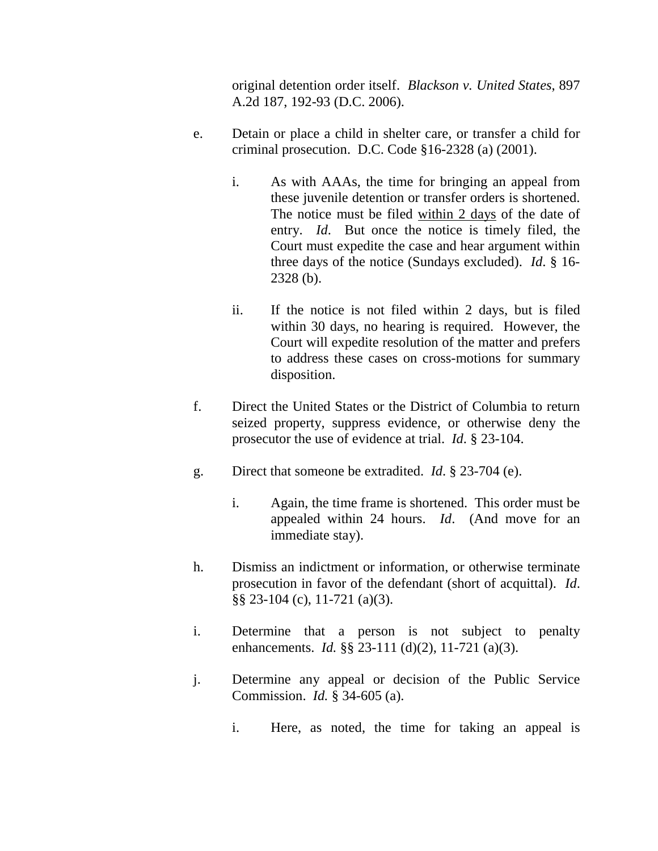original detention order itself. *Blackson v. United States*, 897 A.2d 187, 192-93 (D.C. 2006).

- e. Detain or place a child in shelter care, or transfer a child for criminal prosecution. D.C. Code §16-2328 (a) (2001).
	- i. As with AAAs, the time for bringing an appeal from these juvenile detention or transfer orders is shortened. The notice must be filed within 2 days of the date of entry. *Id*. But once the notice is timely filed, the Court must expedite the case and hear argument within three days of the notice (Sundays excluded). *Id*. § 16- 2328 (b).
	- ii. If the notice is not filed within 2 days, but is filed within 30 days, no hearing is required. However, the Court will expedite resolution of the matter and prefers to address these cases on cross-motions for summary disposition.
- f. Direct the United States or the District of Columbia to return seized property, suppress evidence, or otherwise deny the prosecutor the use of evidence at trial. *Id*. § 23-104.
- g. Direct that someone be extradited. *Id*. § 23-704 (e).
	- i. Again, the time frame is shortened. This order must be appealed within 24 hours. *Id*. (And move for an immediate stay).
- h. Dismiss an indictment or information, or otherwise terminate prosecution in favor of the defendant (short of acquittal). *Id*. §§ 23-104 (c), 11-721 (a)(3).
- i. Determine that a person is not subject to penalty enhancements. *Id.* §§ 23-111 (d)(2), 11-721 (a)(3).
- j. Determine any appeal or decision of the Public Service Commission. *Id.* § 34-605 (a).
	- i. Here, as noted, the time for taking an appeal is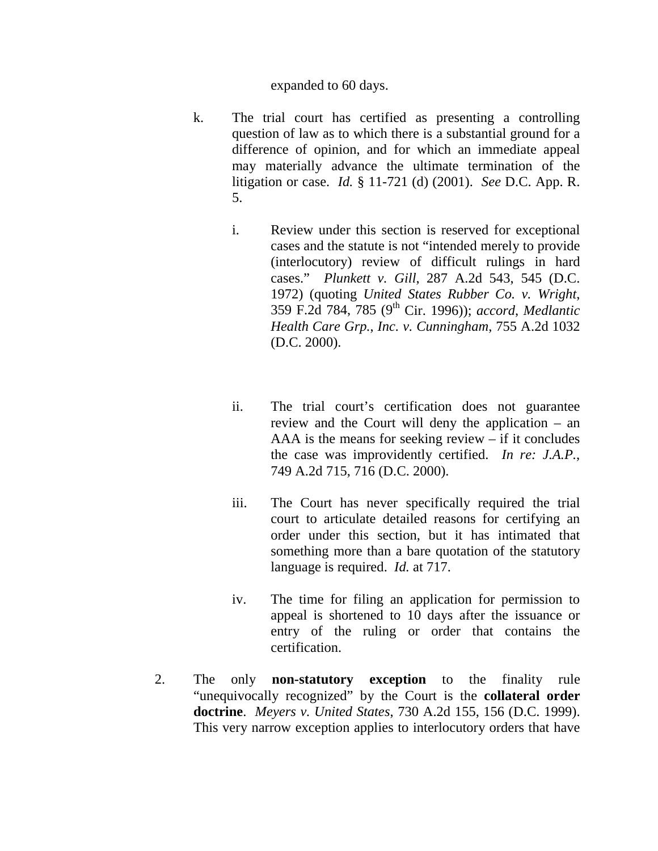#### expanded to 60 days.

- k. The trial court has certified as presenting a controlling question of law as to which there is a substantial ground for a difference of opinion, and for which an immediate appeal may materially advance the ultimate termination of the litigation or case. *Id.* § 11-721 (d) (2001). *See* D.C. App. R. 5.
	- i. Review under this section is reserved for exceptional cases and the statute is not "intended merely to provide (interlocutory) review of difficult rulings in hard cases." *Plunkett v. Gill*, 287 A.2d 543, 545 (D.C. 1972) (quoting *United States Rubber Co. v. Wright*, 359 F.2d 784, 785 (9th Cir. 1996)); *accord*, *Medlantic Health Care Grp.*, *Inc. v. Cunningham*, 755 A.2d 1032 (D.C. 2000).
	- ii. The trial court's certification does not guarantee review and the Court will deny the application – an AAA is the means for seeking review – if it concludes the case was improvidently certified. *In re: J.A.P.*, 749 A.2d 715, 716 (D.C. 2000).
	- iii. The Court has never specifically required the trial court to articulate detailed reasons for certifying an order under this section, but it has intimated that something more than a bare quotation of the statutory language is required. *Id.* at 717.
	- iv. The time for filing an application for permission to appeal is shortened to 10 days after the issuance or entry of the ruling or order that contains the certification.
- 2. The only **non-statutory exception** to the finality rule "unequivocally recognized" by the Court is the **collateral order doctrine**. *Meyers v. United States*, 730 A.2d 155, 156 (D.C. 1999). This very narrow exception applies to interlocutory orders that have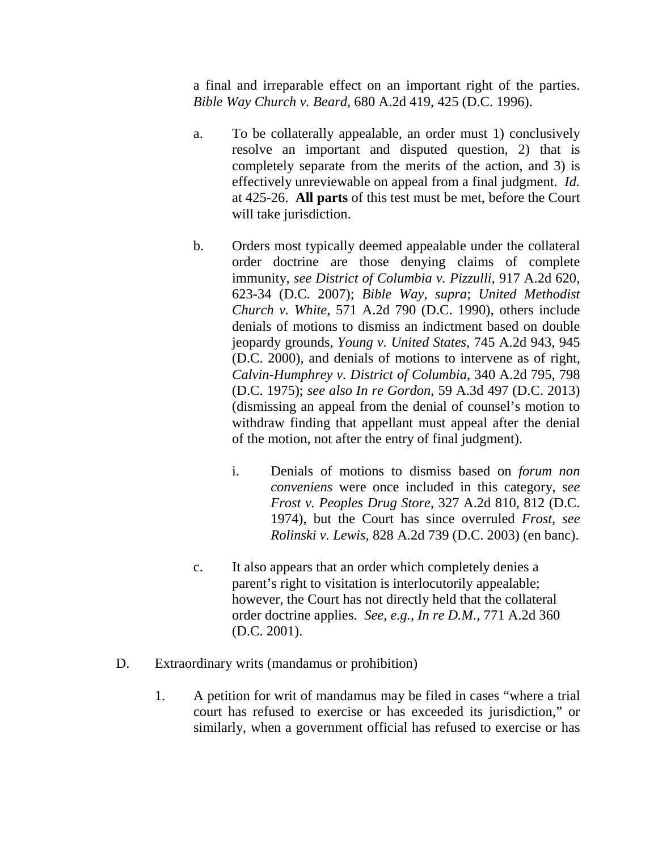a final and irreparable effect on an important right of the parties. *Bible Way Church v. Beard*, 680 A.2d 419, 425 (D.C. 1996).

- a. To be collaterally appealable, an order must 1) conclusively resolve an important and disputed question, 2) that is completely separate from the merits of the action, and 3) is effectively unreviewable on appeal from a final judgment. *Id.* at 425-26. **All parts** of this test must be met, before the Court will take jurisdiction.
- b. Orders most typically deemed appealable under the collateral order doctrine are those denying claims of complete immunity, *see District of Columbia v. Pizzulli*, 917 A.2d 620, 623-34 (D.C. 2007); *Bible Way*, *supra*; *United Methodist Church v. White*, 571 A.2d 790 (D.C. 1990), others include denials of motions to dismiss an indictment based on double jeopardy grounds, *Young v. United States*, 745 A.2d 943, 945 (D.C. 2000), and denials of motions to intervene as of right, *Calvin-Humphrey v. District of Columbia*, 340 A.2d 795, 798 (D.C. 1975); *see also In re Gordon*, 59 A.3d 497 (D.C. 2013) (dismissing an appeal from the denial of counsel's motion to withdraw finding that appellant must appeal after the denial of the motion, not after the entry of final judgment).
	- i. Denials of motions to dismiss based on *forum non conveniens* were once included in this category, s*ee Frost v. Peoples Drug Store*, 327 A.2d 810, 812 (D.C. 1974), but the Court has since overruled *Frost, see Rolinski v. Lewis*, 828 A.2d 739 (D.C. 2003) (en banc).
- c. It also appears that an order which completely denies a parent's right to visitation is interlocutorily appealable; however, the Court has not directly held that the collateral order doctrine applies. *See, e.g., In re D.M.*, 771 A.2d 360 (D.C. 2001).
- D. Extraordinary writs (mandamus or prohibition)
	- 1. A petition for writ of mandamus may be filed in cases "where a trial court has refused to exercise or has exceeded its jurisdiction," or similarly, when a government official has refused to exercise or has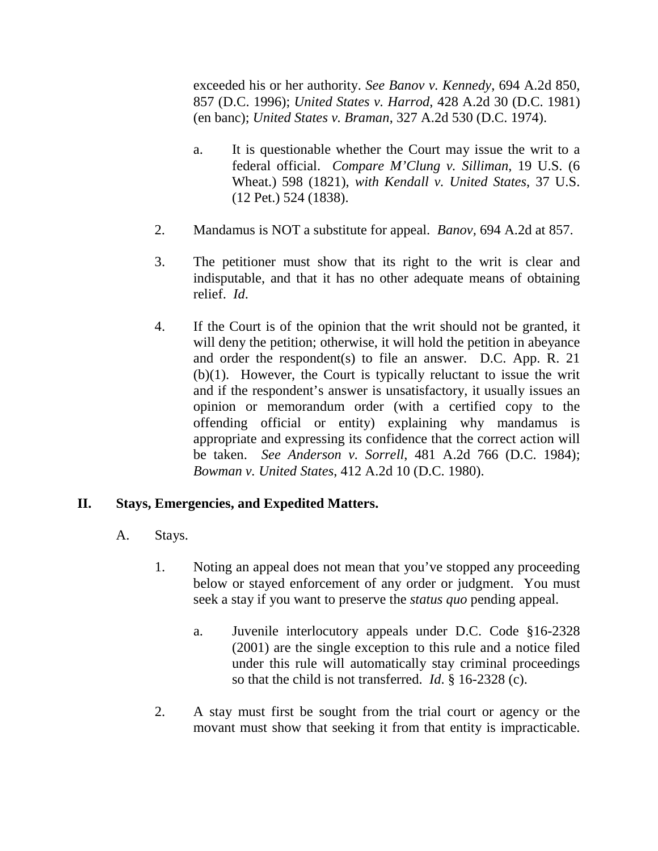exceeded his or her authority. *See Banov v. Kennedy*, 694 A.2d 850, 857 (D.C. 1996); *United States v. Harrod*, 428 A.2d 30 (D.C. 1981) (en banc); *United States v. Braman*, 327 A.2d 530 (D.C. 1974).

- a. It is questionable whether the Court may issue the writ to a federal official. *Compare M'Clung v. Silliman*, 19 U.S. (6 Wheat.) 598 (1821), *with Kendall v. United States*, 37 U.S. (12 Pet.) 524 (1838).
- 2. Mandamus is NOT a substitute for appeal. *Banov,* 694 A.2d at 857.
- 3. The petitioner must show that its right to the writ is clear and indisputable, and that it has no other adequate means of obtaining relief. *Id*.
- 4. If the Court is of the opinion that the writ should not be granted, it will deny the petition; otherwise, it will hold the petition in abeyance and order the respondent(s) to file an answer. D.C. App. R. 21 (b)(1). However, the Court is typically reluctant to issue the writ and if the respondent's answer is unsatisfactory, it usually issues an opinion or memorandum order (with a certified copy to the offending official or entity) explaining why mandamus is appropriate and expressing its confidence that the correct action will be taken. *See Anderson v. Sorrell*, 481 A.2d 766 (D.C. 1984); *Bowman v. United States*, 412 A.2d 10 (D.C. 1980).

### **II. Stays, Emergencies, and Expedited Matters.**

- A. Stays.
	- 1. Noting an appeal does not mean that you've stopped any proceeding below or stayed enforcement of any order or judgment. You must seek a stay if you want to preserve the *status quo* pending appeal.
		- a. Juvenile interlocutory appeals under D.C. Code §16-2328 (2001) are the single exception to this rule and a notice filed under this rule will automatically stay criminal proceedings so that the child is not transferred. *Id*. § 16-2328 (c).
	- 2. A stay must first be sought from the trial court or agency or the movant must show that seeking it from that entity is impracticable.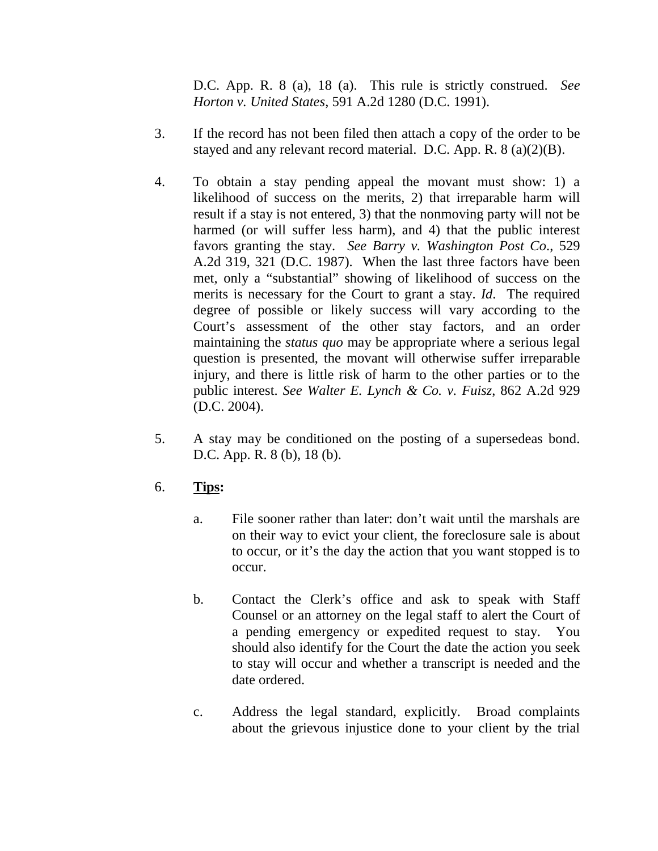D.C. App. R. 8 (a), 18 (a). This rule is strictly construed. *See Horton v. United States*, 591 A.2d 1280 (D.C. 1991).

- 3. If the record has not been filed then attach a copy of the order to be stayed and any relevant record material. D.C. App. R. 8 (a)(2)(B).
- 4. To obtain a stay pending appeal the movant must show: 1) a likelihood of success on the merits, 2) that irreparable harm will result if a stay is not entered, 3) that the nonmoving party will not be harmed (or will suffer less harm), and 4) that the public interest favors granting the stay. *See Barry v. Washington Post Co*., 529 A.2d 319, 321 (D.C. 1987). When the last three factors have been met, only a "substantial" showing of likelihood of success on the merits is necessary for the Court to grant a stay. *Id*. The required degree of possible or likely success will vary according to the Court's assessment of the other stay factors, and an order maintaining the *status quo* may be appropriate where a serious legal question is presented, the movant will otherwise suffer irreparable injury, and there is little risk of harm to the other parties or to the public interest. *See Walter E. Lynch & Co. v. Fuisz*, 862 A.2d 929 (D.C. 2004).
- 5. A stay may be conditioned on the posting of a supersedeas bond. D.C. App. R. 8 (b), 18 (b).

# 6. **Tips:**

- a. File sooner rather than later: don't wait until the marshals are on their way to evict your client, the foreclosure sale is about to occur, or it's the day the action that you want stopped is to occur.
- b. Contact the Clerk's office and ask to speak with Staff Counsel or an attorney on the legal staff to alert the Court of a pending emergency or expedited request to stay. You should also identify for the Court the date the action you seek to stay will occur and whether a transcript is needed and the date ordered.
- c. Address the legal standard, explicitly. Broad complaints about the grievous injustice done to your client by the trial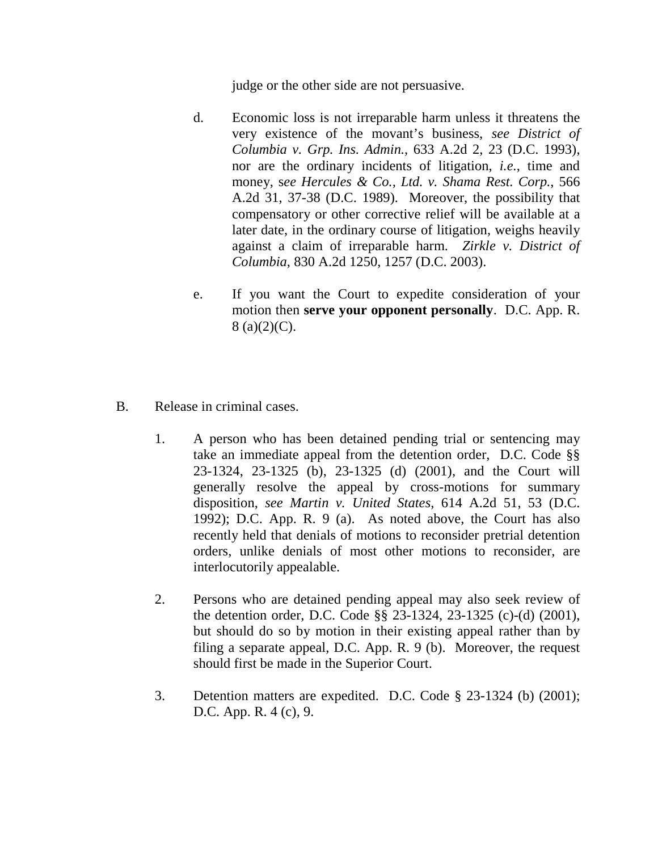judge or the other side are not persuasive.

- d. Economic loss is not irreparable harm unless it threatens the very existence of the movant's business, *see District of Columbia v. Grp. Ins. Admin.*, 633 A.2d 2, 23 (D.C. 1993), nor are the ordinary incidents of litigation, *i.e.*, time and money, s*ee Hercules & Co., Ltd. v. Shama Rest. Corp.*, 566 A.2d 31, 37-38 (D.C. 1989). Moreover, the possibility that compensatory or other corrective relief will be available at a later date, in the ordinary course of litigation, weighs heavily against a claim of irreparable harm. *Zirkle v. District of Columbia*, 830 A.2d 1250, 1257 (D.C. 2003).
- e. If you want the Court to expedite consideration of your motion then **serve your opponent personally**. D.C. App. R.  $8$  (a)(2)(C).
- B. Release in criminal cases.
	- 1. A person who has been detained pending trial or sentencing may take an immediate appeal from the detention order, D.C. Code §§ 23-1324, 23-1325 (b), 23-1325 (d) (2001), and the Court will generally resolve the appeal by cross-motions for summary disposition, *see Martin v. United States*, 614 A.2d 51, 53 (D.C. 1992); D.C. App. R. 9 (a). As noted above, the Court has also recently held that denials of motions to reconsider pretrial detention orders, unlike denials of most other motions to reconsider, are interlocutorily appealable.
	- 2. Persons who are detained pending appeal may also seek review of the detention order, D.C. Code §§ 23-1324, 23-1325 (c)-(d) (2001), but should do so by motion in their existing appeal rather than by filing a separate appeal, D.C. App. R. 9 (b). Moreover, the request should first be made in the Superior Court.
	- 3. Detention matters are expedited. D.C. Code § 23-1324 (b) (2001); D.C. App. R. 4 (c), 9.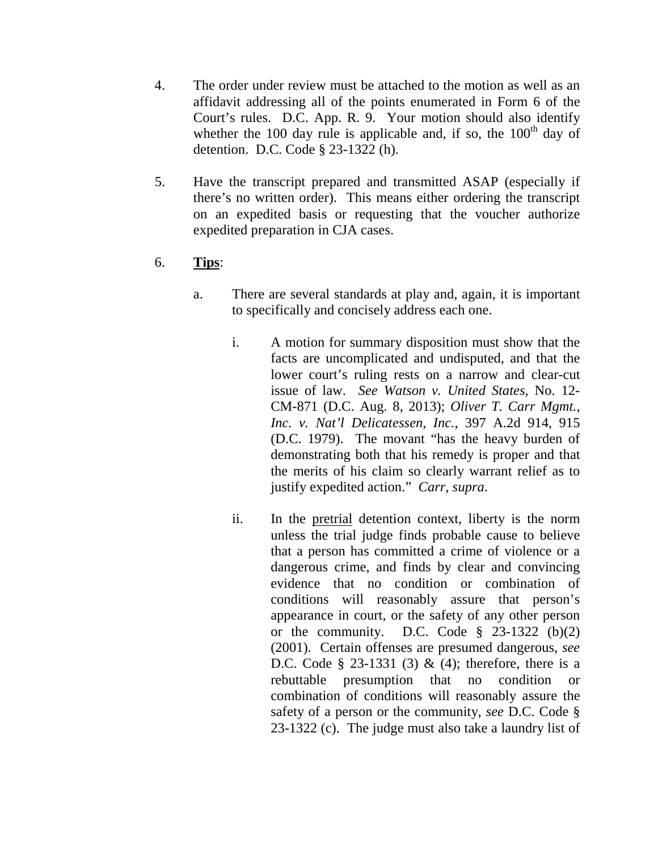- 4. The order under review must be attached to the motion as well as an affidavit addressing all of the points enumerated in Form 6 of the Court's rules. D.C. App. R. 9. Your motion should also identify whether the 100 day rule is applicable and, if so, the  $100<sup>th</sup>$  day of detention. D.C. Code § 23-1322 (h).
- 5. Have the transcript prepared and transmitted ASAP (especially if there's no written order). This means either ordering the transcript on an expedited basis or requesting that the voucher authorize expedited preparation in CJA cases.

# 6. **Tips**:

- a. There are several standards at play and, again, it is important to specifically and concisely address each one.
	- i. A motion for summary disposition must show that the facts are uncomplicated and undisputed, and that the lower court's ruling rests on a narrow and clear-cut issue of law. *See Watson v. United States,* No. 12- CM-871 (D.C. Aug. 8, 2013); *Oliver T. Carr Mgmt., Inc. v. Nat'l Delicatessen, Inc.*, 397 A.2d 914, 915 (D.C. 1979). The movant "has the heavy burden of demonstrating both that his remedy is proper and that the merits of his claim so clearly warrant relief as to justify expedited action." *Carr, supra*.
	- ii. In the pretrial detention context, liberty is the norm unless the trial judge finds probable cause to believe that a person has committed a crime of violence or a dangerous crime, and finds by clear and convincing evidence that no condition or combination of conditions will reasonably assure that person's appearance in court, or the safety of any other person or the community. D.C. Code  $\S$  23-1322 (b)(2) (2001). Certain offenses are presumed dangerous, *see* D.C. Code § 23-1331 (3) & (4); therefore, there is a rebuttable presumption that no condition or combination of conditions will reasonably assure the safety of a person or the community, *see* D.C. Code § 23-1322 (c). The judge must also take a laundry list of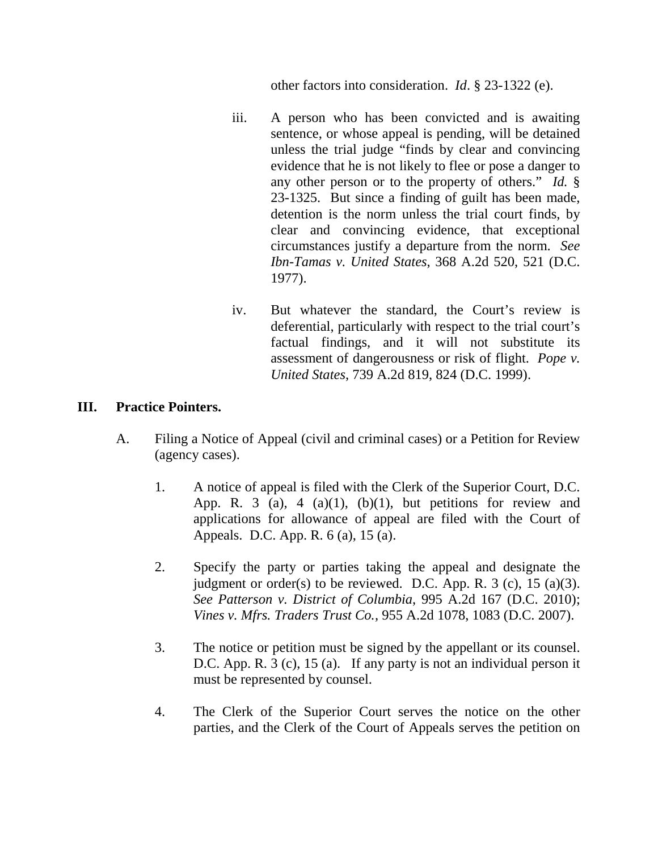other factors into consideration. *Id*. § 23-1322 (e).

- iii. A person who has been convicted and is awaiting sentence, or whose appeal is pending, will be detained unless the trial judge "finds by clear and convincing evidence that he is not likely to flee or pose a danger to any other person or to the property of others." *Id.* § 23-1325. But since a finding of guilt has been made, detention is the norm unless the trial court finds, by clear and convincing evidence, that exceptional circumstances justify a departure from the norm. *See Ibn-Tamas v. United States*, 368 A.2d 520, 521 (D.C. 1977).
- iv. But whatever the standard, the Court's review is deferential, particularly with respect to the trial court's factual findings, and it will not substitute its assessment of dangerousness or risk of flight. *Pope v. United States*, 739 A.2d 819, 824 (D.C. 1999).

## **III. Practice Pointers.**

- A. Filing a Notice of Appeal (civil and criminal cases) or a Petition for Review (agency cases).
	- 1. A notice of appeal is filed with the Clerk of the Superior Court, D.C. App. R. 3 (a), 4 (a)(1), (b)(1), but petitions for review and applications for allowance of appeal are filed with the Court of Appeals. D.C. App. R. 6 (a), 15 (a).
	- 2. Specify the party or parties taking the appeal and designate the judgment or order(s) to be reviewed. D.C. App. R.  $3$  (c),  $15$  (a)(3). *See Patterson v. District of Columbia*, 995 A.2d 167 (D.C. 2010); *Vines v. Mfrs. Traders Trust Co.,* 955 A.2d 1078, 1083 (D.C. 2007).
	- 3. The notice or petition must be signed by the appellant or its counsel. D.C. App. R. 3 (c), 15 (a). If any party is not an individual person it must be represented by counsel.
	- 4. The Clerk of the Superior Court serves the notice on the other parties, and the Clerk of the Court of Appeals serves the petition on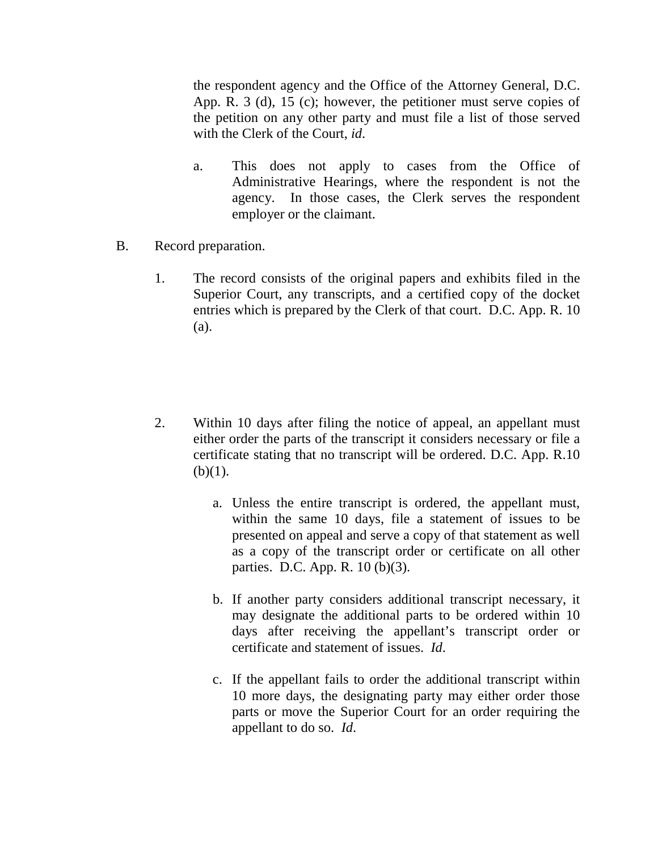the respondent agency and the Office of the Attorney General, D.C. App. R. 3 (d), 15 (c); however, the petitioner must serve copies of the petition on any other party and must file a list of those served with the Clerk of the Court, *id*.

- a. This does not apply to cases from the Office of Administrative Hearings, where the respondent is not the agency. In those cases, the Clerk serves the respondent employer or the claimant.
- B. Record preparation.
	- 1. The record consists of the original papers and exhibits filed in the Superior Court, any transcripts, and a certified copy of the docket entries which is prepared by the Clerk of that court. D.C. App. R. 10 (a).
	- 2. Within 10 days after filing the notice of appeal, an appellant must either order the parts of the transcript it considers necessary or file a certificate stating that no transcript will be ordered. D.C. App. R.10  $(b)(1)$ .
		- a. Unless the entire transcript is ordered, the appellant must, within the same 10 days, file a statement of issues to be presented on appeal and serve a copy of that statement as well as a copy of the transcript order or certificate on all other parties. D.C. App. R. 10 (b)(3).
		- b. If another party considers additional transcript necessary, it may designate the additional parts to be ordered within 10 days after receiving the appellant's transcript order or certificate and statement of issues. *Id*.
		- c. If the appellant fails to order the additional transcript within 10 more days, the designating party may either order those parts or move the Superior Court for an order requiring the appellant to do so. *Id*.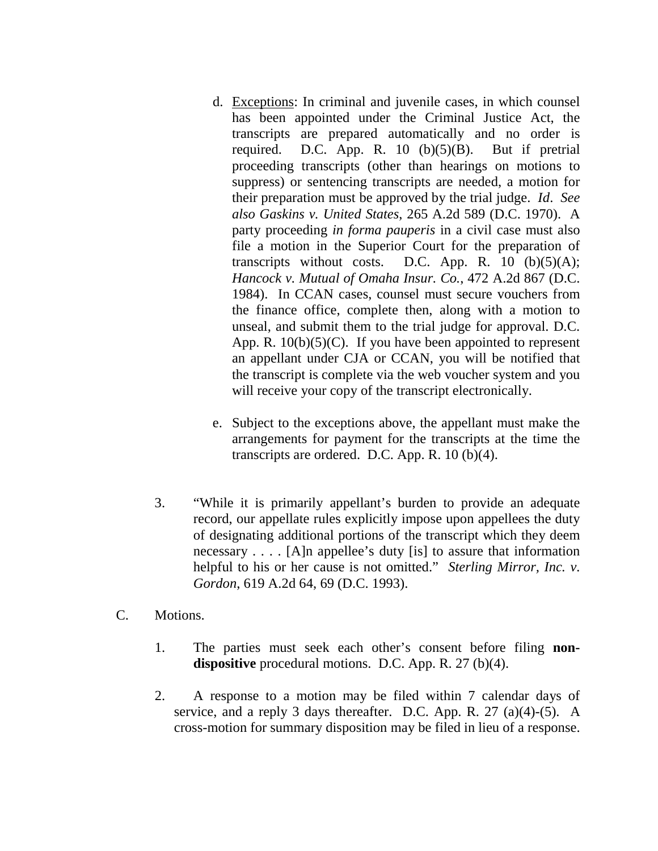- d. Exceptions: In criminal and juvenile cases, in which counsel has been appointed under the Criminal Justice Act, the transcripts are prepared automatically and no order is required. D.C. App. R.  $10$  (b)(5)(B). But if pretrial proceeding transcripts (other than hearings on motions to suppress) or sentencing transcripts are needed, a motion for their preparation must be approved by the trial judge. *Id*. *See also Gaskins v. United States*, 265 A.2d 589 (D.C. 1970). A party proceeding *in forma pauperis* in a civil case must also file a motion in the Superior Court for the preparation of transcripts without costs. D.C. App. R.  $10$  (b)(5)(A); *Hancock v. Mutual of Omaha Insur. Co.*, 472 A.2d 867 (D.C. 1984). In CCAN cases, counsel must secure vouchers from the finance office, complete then, along with a motion to unseal, and submit them to the trial judge for approval. D.C. App. R.  $10(b)(5)(C)$ . If you have been appointed to represent an appellant under CJA or CCAN, you will be notified that the transcript is complete via the web voucher system and you will receive your copy of the transcript electronically.
- e. Subject to the exceptions above, the appellant must make the arrangements for payment for the transcripts at the time the transcripts are ordered. D.C. App. R. 10 (b)(4).
- 3. "While it is primarily appellant's burden to provide an adequate record, our appellate rules explicitly impose upon appellees the duty of designating additional portions of the transcript which they deem necessary . . . . [A]n appellee's duty [is] to assure that information helpful to his or her cause is not omitted." *Sterling Mirror, Inc. v. Gordon*, 619 A.2d 64, 69 (D.C. 1993).
- C. Motions.
	- 1. The parties must seek each other's consent before filing **nondispositive** procedural motions. D.C. App. R. 27 (b)(4).
	- 2. A response to a motion may be filed within 7 calendar days of service, and a reply 3 days thereafter. D.C. App. R.  $27$  (a)(4)-(5). A cross-motion for summary disposition may be filed in lieu of a response.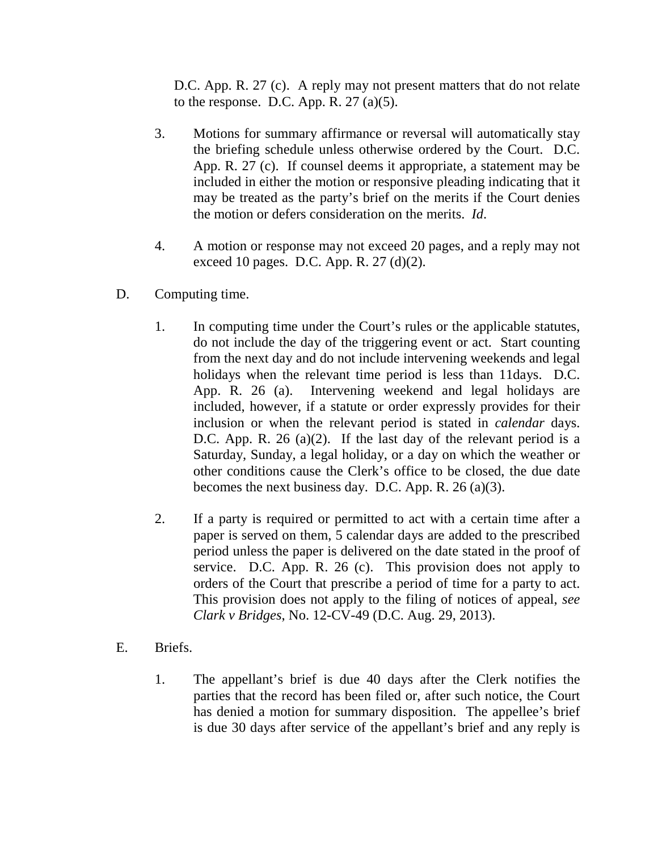D.C. App. R. 27 (c). A reply may not present matters that do not relate to the response. D.C. App. R.  $27$  (a)(5).

- 3. Motions for summary affirmance or reversal will automatically stay the briefing schedule unless otherwise ordered by the Court. D.C. App. R. 27 (c). If counsel deems it appropriate, a statement may be included in either the motion or responsive pleading indicating that it may be treated as the party's brief on the merits if the Court denies the motion or defers consideration on the merits. *Id*.
- 4. A motion or response may not exceed 20 pages, and a reply may not exceed 10 pages. D.C. App. R. 27 (d)(2).
- D. Computing time.
	- 1. In computing time under the Court's rules or the applicable statutes, do not include the day of the triggering event or act. Start counting from the next day and do not include intervening weekends and legal holidays when the relevant time period is less than 11days. D.C. App. R. 26 (a). Intervening weekend and legal holidays are included, however, if a statute or order expressly provides for their inclusion or when the relevant period is stated in *calendar* days. D.C. App. R. 26 (a)(2). If the last day of the relevant period is a Saturday, Sunday, a legal holiday, or a day on which the weather or other conditions cause the Clerk's office to be closed, the due date becomes the next business day. D.C. App. R. 26 (a)(3).
	- 2. If a party is required or permitted to act with a certain time after a paper is served on them, 5 calendar days are added to the prescribed period unless the paper is delivered on the date stated in the proof of service. D.C. App. R. 26 (c). This provision does not apply to orders of the Court that prescribe a period of time for a party to act. This provision does not apply to the filing of notices of appeal, *see Clark v Bridges*, No. 12-CV-49 (D.C. Aug. 29, 2013).
- E. Briefs.
	- 1. The appellant's brief is due 40 days after the Clerk notifies the parties that the record has been filed or, after such notice, the Court has denied a motion for summary disposition. The appellee's brief is due 30 days after service of the appellant's brief and any reply is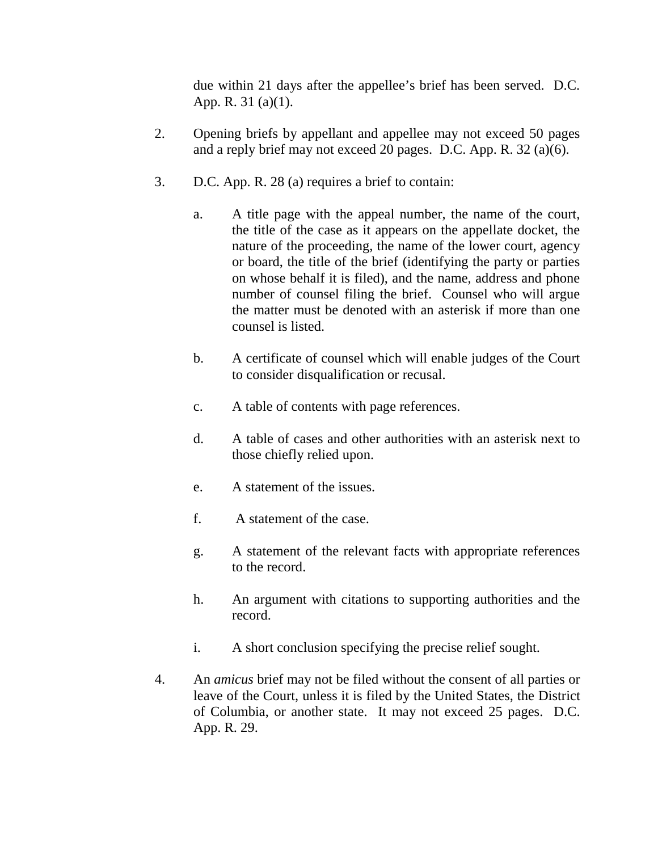due within 21 days after the appellee's brief has been served. D.C. App. R. 31 (a)(1).

- 2. Opening briefs by appellant and appellee may not exceed 50 pages and a reply brief may not exceed 20 pages. D.C. App. R. 32 (a)(6).
- 3. D.C. App. R. 28 (a) requires a brief to contain:
	- a. A title page with the appeal number, the name of the court, the title of the case as it appears on the appellate docket, the nature of the proceeding, the name of the lower court, agency or board, the title of the brief (identifying the party or parties on whose behalf it is filed), and the name, address and phone number of counsel filing the brief. Counsel who will argue the matter must be denoted with an asterisk if more than one counsel is listed.
	- b. A certificate of counsel which will enable judges of the Court to consider disqualification or recusal.
	- c. A table of contents with page references.
	- d. A table of cases and other authorities with an asterisk next to those chiefly relied upon.
	- e. A statement of the issues.
	- f. A statement of the case.
	- g. A statement of the relevant facts with appropriate references to the record.
	- h. An argument with citations to supporting authorities and the record.
	- i. A short conclusion specifying the precise relief sought.
- 4. An *amicus* brief may not be filed without the consent of all parties or leave of the Court, unless it is filed by the United States, the District of Columbia, or another state. It may not exceed 25 pages. D.C. App. R. 29.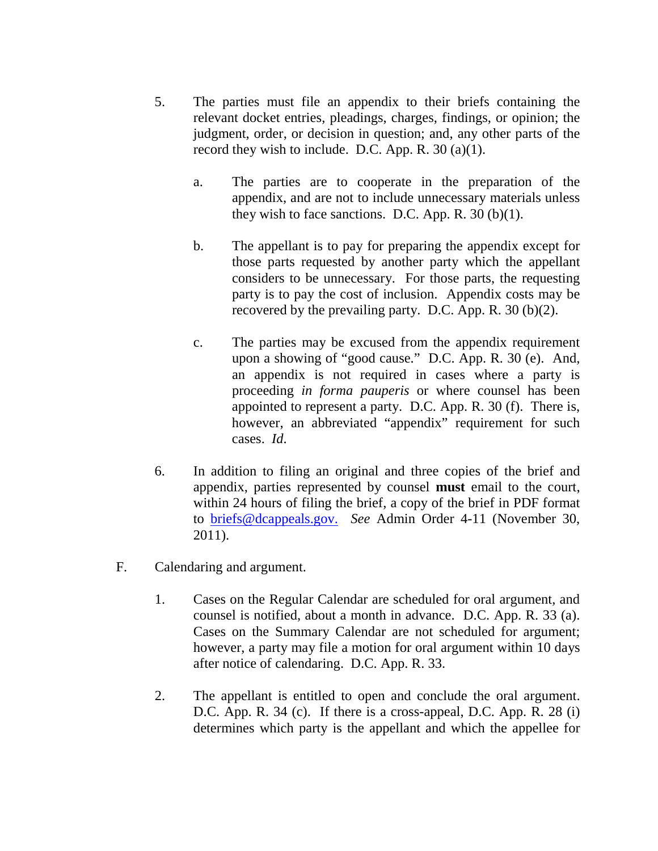- 5. The parties must file an appendix to their briefs containing the relevant docket entries, pleadings, charges, findings, or opinion; the judgment, order, or decision in question; and, any other parts of the record they wish to include. D.C. App. R.  $30$  (a)(1).
	- a. The parties are to cooperate in the preparation of the appendix, and are not to include unnecessary materials unless they wish to face sanctions. D.C. App. R.  $30$  (b)(1).
	- b. The appellant is to pay for preparing the appendix except for those parts requested by another party which the appellant considers to be unnecessary. For those parts, the requesting party is to pay the cost of inclusion. Appendix costs may be recovered by the prevailing party. D.C. App. R. 30 (b)(2).
	- c. The parties may be excused from the appendix requirement upon a showing of "good cause." D.C. App. R. 30 (e). And, an appendix is not required in cases where a party is proceeding *in forma pauperis* or where counsel has been appointed to represent a party. D.C. App. R. 30 (f). There is, however, an abbreviated "appendix" requirement for such cases. *Id*.
- 6. In addition to filing an original and three copies of the brief and appendix, parties represented by counsel **must** email to the court, within 24 hours of filing the brief, a copy of the brief in PDF format to [briefs@dcappeals.gov.](mailto:briefs@dcappeals.gov.) *See* Admin Order 4-11 (November 30, 2011).
- F. Calendaring and argument.
	- 1. Cases on the Regular Calendar are scheduled for oral argument, and counsel is notified, about a month in advance. D.C. App. R. 33 (a). Cases on the Summary Calendar are not scheduled for argument; however, a party may file a motion for oral argument within 10 days after notice of calendaring. D.C. App. R. 33.
	- 2. The appellant is entitled to open and conclude the oral argument. D.C. App. R. 34 (c). If there is a cross-appeal, D.C. App. R. 28 (i) determines which party is the appellant and which the appellee for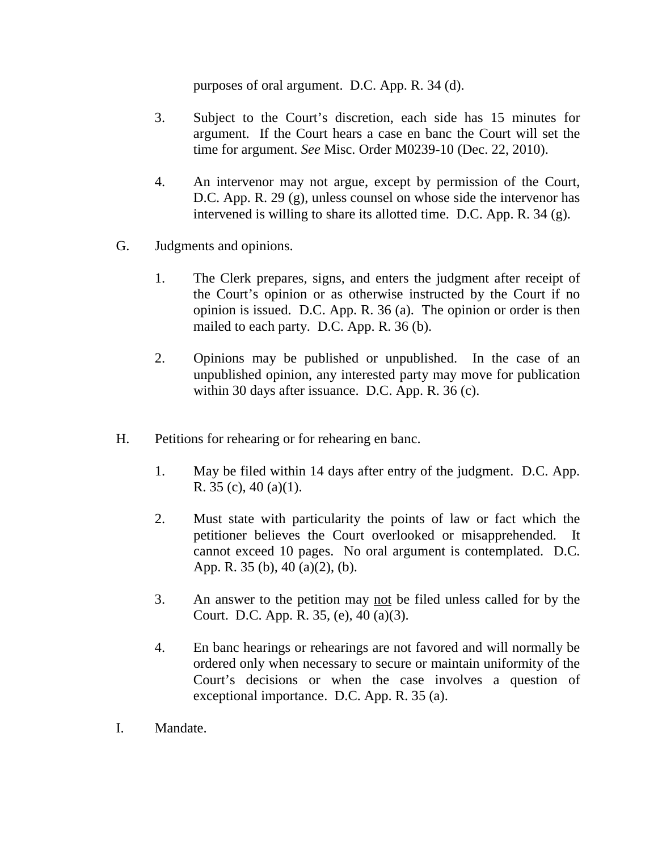purposes of oral argument. D.C. App. R. 34 (d).

- 3. Subject to the Court's discretion, each side has 15 minutes for argument. If the Court hears a case en banc the Court will set the time for argument. *See* Misc. Order M0239-10 (Dec. 22, 2010).
- 4. An intervenor may not argue, except by permission of the Court, D.C. App. R. 29 (g), unless counsel on whose side the intervenor has intervened is willing to share its allotted time. D.C. App. R. 34 (g).
- G. Judgments and opinions.
	- 1. The Clerk prepares, signs, and enters the judgment after receipt of the Court's opinion or as otherwise instructed by the Court if no opinion is issued. D.C. App. R. 36 (a). The opinion or order is then mailed to each party. D.C. App. R. 36 (b).
	- 2. Opinions may be published or unpublished. In the case of an unpublished opinion, any interested party may move for publication within 30 days after issuance. D.C. App. R. 36 (c).
- H. Petitions for rehearing or for rehearing en banc.
	- 1. May be filed within 14 days after entry of the judgment. D.C. App. R. 35 (c), 40 (a)(1).
	- 2. Must state with particularity the points of law or fact which the petitioner believes the Court overlooked or misapprehended. It cannot exceed 10 pages. No oral argument is contemplated. D.C. App. R. 35 (b), 40 (a)(2), (b).
	- 3. An answer to the petition may not be filed unless called for by the Court. D.C. App. R. 35, (e), 40 (a)(3).
	- 4. En banc hearings or rehearings are not favored and will normally be ordered only when necessary to secure or maintain uniformity of the Court's decisions or when the case involves a question of exceptional importance. D.C. App. R. 35 (a).
- I. Mandate.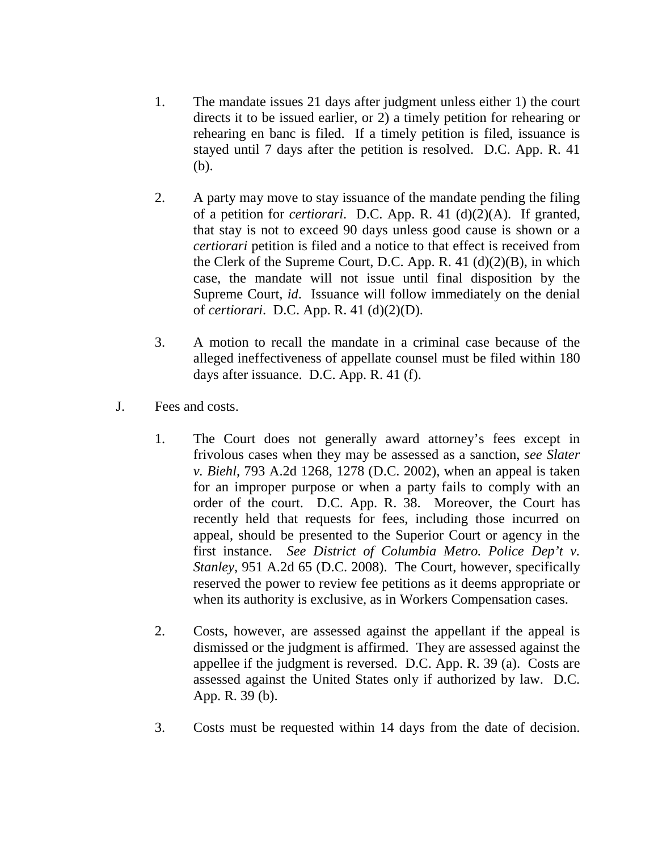- 1. The mandate issues 21 days after judgment unless either 1) the court directs it to be issued earlier, or 2) a timely petition for rehearing or rehearing en banc is filed. If a timely petition is filed, issuance is stayed until 7 days after the petition is resolved. D.C. App. R. 41 (b).
- 2. A party may move to stay issuance of the mandate pending the filing of a petition for *certiorari*. D.C. App. R. 41 (d)(2)(A). If granted, that stay is not to exceed 90 days unless good cause is shown or a *certiorari* petition is filed and a notice to that effect is received from the Clerk of the Supreme Court, D.C. App. R. 41 (d)(2)(B), in which case, the mandate will not issue until final disposition by the Supreme Court, *id*. Issuance will follow immediately on the denial of *certiorari*. D.C. App. R. 41 (d)(2)(D).
- 3. A motion to recall the mandate in a criminal case because of the alleged ineffectiveness of appellate counsel must be filed within 180 days after issuance. D.C. App. R. 41 (f).
- J. Fees and costs.
	- 1. The Court does not generally award attorney's fees except in frivolous cases when they may be assessed as a sanction, *see Slater v. Biehl*, 793 A.2d 1268, 1278 (D.C. 2002), when an appeal is taken for an improper purpose or when a party fails to comply with an order of the court. D.C. App. R. 38. Moreover, the Court has recently held that requests for fees, including those incurred on appeal, should be presented to the Superior Court or agency in the first instance. *See District of Columbia Metro. Police Dep't v. Stanley*, 951 A.2d 65 (D.C. 2008). The Court, however, specifically reserved the power to review fee petitions as it deems appropriate or when its authority is exclusive, as in Workers Compensation cases.
	- 2. Costs, however, are assessed against the appellant if the appeal is dismissed or the judgment is affirmed. They are assessed against the appellee if the judgment is reversed. D.C. App. R. 39 (a). Costs are assessed against the United States only if authorized by law. D.C. App. R. 39 (b).
	- 3. Costs must be requested within 14 days from the date of decision.